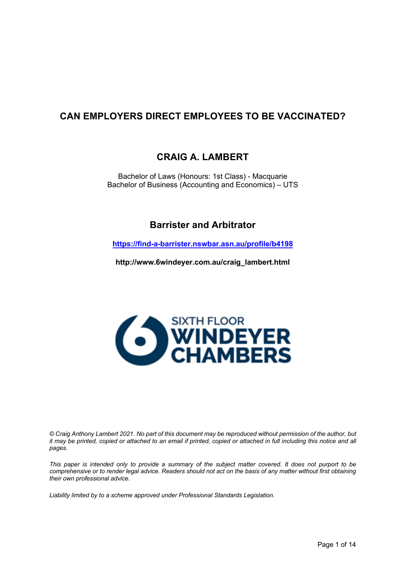# **CAN EMPLOYERS DIRECT EMPLOYEES TO BE VACCINATED?**

### **CRAIG A. LAMBERT**

Bachelor of Laws (Honours: 1st Class) - Macquarie Bachelor of Business (Accounting and Economics) – UTS

## **Barrister and Arbitrator**

**https://find-a-barrister.nswbar.asn.au/profile/b4198**

**http://www.6windeyer.com.au/craig\_lambert.html**



*© Craig Anthony Lambert 2021. No part of this document may be reproduced without permission of the author, but it may be printed, copied or attached to an email if printed, copied or attached in full including this notice and all pages.* 

*This paper is intended only to provide a summary of the subject matter covered. It does not purport to be comprehensive or to render legal advice. Readers should not act on the basis of any matter without first obtaining their own professional advice.* 

*Liability limited by to a scheme approved under Professional Standards Legislation.*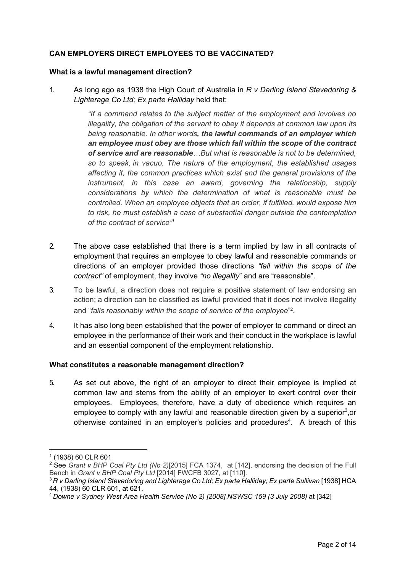### **CAN EMPLOYERS DIRECT EMPLOYEES TO BE VACCINATED?**

#### **What is a lawful management direction?**

1. As long ago as 1938 the High Court of Australia in *R v Darling Island Stevedoring & Lighterage Co Ltd; Ex parte Halliday* held that:

> *"If a command relates to the subject matter of the employment and involves no illegality, the obligation of the servant to obey it depends at common law upon its being reasonable. In other words, the lawful commands of an employer which an employee must obey are those which fall within the scope of the contract of service and are reasonable…But what is reasonable is not to be determined, so to speak, in vacuo. The nature of the employment, the established usages affecting it, the common practices which exist and the general provisions of the instrument, in this case an award, governing the relationship, supply considerations by which the determination of what is reasonable must be controlled. When an employee objects that an order, if fulfilled, would expose him to risk, he must establish a case of substantial danger outside the contemplation of the contract of service"<sup>1</sup>*

- 2. The above case established that there is a term implied by law in all contracts of employment that requires an employee to obey lawful and reasonable commands or directions of an employer provided those directions *"fall within the scope of the contract"* of employment, they involve *"no illegality*" and are "reasonable".
- 3. To be lawful, a direction does not require a positive statement of law endorsing an action; a direction can be classified as lawful provided that it does not involve illegality and "*falls reasonably within the scope of service of the employee*" 2.
- 4. It has also long been established that the power of employer to command or direct an employee in the performance of their work and their conduct in the workplace is lawful and an essential component of the employment relationship.

#### **What constitutes a reasonable management direction?**

5. As set out above, the right of an employer to direct their employee is implied at common law and stems from the ability of an employer to exert control over their employees. Employees, therefore, have a duty of obedience which requires an employee to comply with any lawful and reasonable direction given by a superior<sup>3</sup>,or otherwise contained in an employer's policies and procedures<sup>4</sup>. A breach of this

<sup>1</sup> (1938) 60 CLR 601

<sup>2</sup> See *Grant v BHP Coal Pty Ltd (No 2)*[2015] FCA 1374, at [142], endorsing the decision of the Full Bench in *Grant v BHP Coal Pty Ltd* [2014] FWCFB 3027, at [110].

<sup>&</sup>lt;sup>3</sup> R v Darling Island Stevedoring and Lighterage Co Ltd; Ex parte Halliday; Ex parte Sullivan [1938] HCA 44, (1938) 60 CLR 601, at 621.

<sup>4</sup> *Downe v Sydney West Area Health Service (No 2) [2008] NSWSC 159 (3 July 2008)* at [342]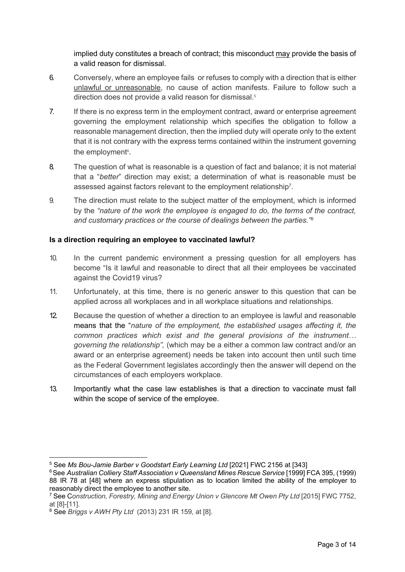implied duty constitutes a breach of contract; this misconduct may provide the basis of a valid reason for dismissal.

- 6. Conversely, where an employee fails or refuses to comply with a direction that is either unlawful or unreasonable, no cause of action manifests. Failure to follow such a direction does not provide a valid reason for dismissal.<sup>5</sup>
- 7. If there is no express term in the employment contract, award or enterprise agreement governing the employment relationship which specifies the obligation to follow a reasonable management direction, then the implied duty will operate only to the extent that it is not contrary with the express terms contained within the instrument governing the employment<sup>6</sup>.
- 8. The question of what is reasonable is a question of fact and balance; it is not material that a "*better*" direction may exist; a determination of what is reasonable must be assessed against factors relevant to the employment relationship7.
- 9. The direction must relate to the subject matter of the employment, which is informed by the *"nature of the work the employee is engaged to do, the terms of the contract, and customary practices or the course of dealings between the parties."8*

#### **Is a direction requiring an employee to vaccinated lawful?**

- 10. In the current pandemic environment a pressing question for all employers has become "Is it lawful and reasonable to direct that all their employees be vaccinated against the Covid19 virus?
- 11. Unfortunately, at this time, there is no generic answer to this question that can be applied across all workplaces and in all workplace situations and relationships.
- 12. Because the question of whether a direction to an employee is lawful and reasonable means that the "*nature of the employment, the established usages affecting it, the common practices which exist and the general provisions of the instrument… governing the relationship",* (which may be a either a common law contract and/or an award or an enterprise agreement) needs be taken into account then until such time as the Federal Government legislates accordingly then the answer will depend on the circumstances of each employers workplace.
- 13. Importantly what the case law establishes is that a direction to vaccinate must fall within the scope of service of the employee.

<sup>5</sup> See *Ms Bou-Jamie Barber v Goodstart Early Learning Ltd* [2021] FWC 2156 at [343]

<sup>6</sup>See *Australian Colliery Staff Association v Queensland Mines Rescue Service* [1999] FCA 395, (1999) 88 IR 78 at [48] where an express stipulation as to location limited the ability of the employer to reasonably direct the employee to another site.

<sup>&</sup>lt;sup>7</sup> See Construction, Forestry, Mining and Energy Union v Glencore Mt Owen Pty Ltd [2015] FWC 7752, at [8]-[11].

<sup>8</sup> See *Briggs v AWH Pty Ltd* (2013) 231 IR 159, at [8].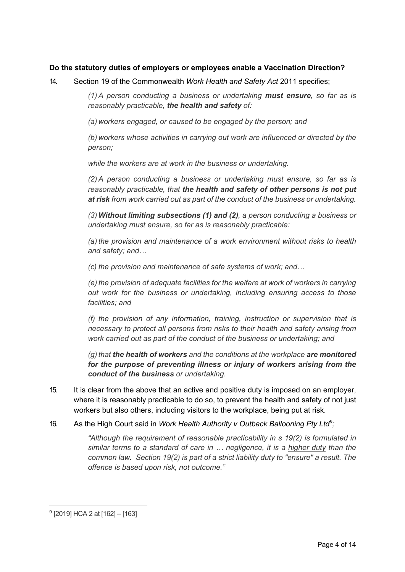#### **Do the statutory duties of employers or employees enable a Vaccination Direction?**

14. Section 19 of the Commonwealth *Work Health and Safety Act* 2011 specifies;

*(1) A person conducting a business or undertaking must ensure, so far as is reasonably practicable, the health and safety of:*

*(a) workers engaged, or caused to be engaged by the person; and*

*(b) workers whose activities in carrying out work are influenced or directed by the person;*

*while the workers are at work in the business or undertaking.*

*(2) A person conducting a business or undertaking must ensure, so far as is reasonably practicable, that the health and safety of other persons is not put at risk from work carried out as part of the conduct of the business or undertaking.*

*(3) Without limiting subsections (1) and (2), a person conducting a business or undertaking must ensure, so far as is reasonably practicable:*

*(a) the provision and maintenance of a work environment without risks to health and safety; and…*

*(c) the provision and maintenance of safe systems of work; and…*

*(e) the provision of adequate facilities for the welfare at work of workers in carrying out work for the business or undertaking, including ensuring access to those facilities; and*

*(f) the provision of any information, training, instruction or supervision that is necessary to protect all persons from risks to their health and safety arising from work carried out as part of the conduct of the business or undertaking; and*

*(g) that the health of workers and the conditions at the workplace are monitored for the purpose of preventing illness or injury of workers arising from the conduct of the business or undertaking.*

- 15. It is clear from the above that an active and positive duty is imposed on an employer, where it is reasonably practicable to do so, to prevent the health and safety of not just workers but also others, including visitors to the workplace, being put at risk.
- 16. As the High Court said in *Work Health Authority v Outback Ballooning Pty Ltd<sup>9</sup> ;*

*"Although the requirement of reasonable practicability in s 19(2) is formulated in similar terms to a standard of care in … negligence, it is a higher duty than the common law. Section 19(2) is part of a strict liability duty to "ensure" a result. The offence is based upon risk, not outcome."*

<sup>9</sup> [2019] HCA 2 at [162] – [163]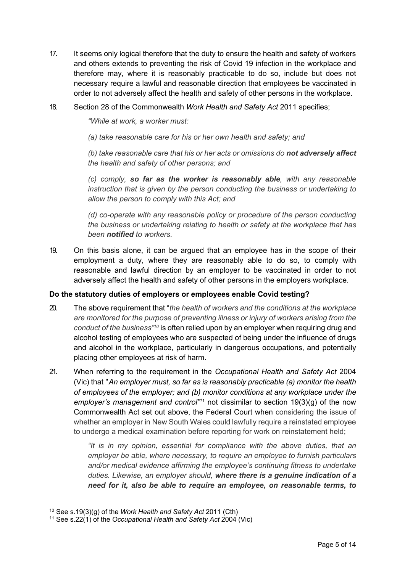- 17. It seems only logical therefore that the duty to ensure the health and safety of workers and others extends to preventing the risk of Covid 19 infection in the workplace and therefore may, where it is reasonably practicable to do so, include but does not necessary require a lawful and reasonable direction that employees be vaccinated in order to not adversely affect the health and safety of other persons in the workplace.
- 18. Section 28 of the Commonwealth *Work Health and Safety Act* 2011 specifies;

*"While at work, a worker must:*

*(a) take reasonable care for his or her own health and safety; and*

*(b) take reasonable care that his or her acts or omissions do not adversely affect the health and safety of other persons; and*

*(c) comply, so far as the worker is reasonably able, with any reasonable instruction that is given by the person conducting the business or undertaking to allow the person to comply with this Act; and*

*(d) co-operate with any reasonable policy or procedure of the person conducting the business or undertaking relating to health or safety at the workplace that has been notified to workers.* 

19. On this basis alone, it can be argued that an employee has in the scope of their employment a duty, where they are reasonably able to do so, to comply with reasonable and lawful direction by an employer to be vaccinated in order to not adversely affect the health and safety of other persons in the employers workplace.

#### **Do the statutory duties of employers or employees enable Covid testing?**

- 20. The above requirement that "*the health of workers and the conditions at the workplace are monitored for the purpose of preventing illness or injury of workers arising from the conduct of the business"10* is often relied upon by an employer when requiring drug and alcohol testing of employees who are suspected of being under the influence of drugs and alcohol in the workplace, particularly in dangerous occupations, and potentially placing other employees at risk of harm.
- 21. When referring to the requirement in the *Occupational Health and Safety Act* 2004 (Vic) that "*An employer must, so far as is reasonably practicable (a) monitor the health of employees of the employer; and (b) monitor conditions at any workplace under the employer's management and control"11* not dissimilar to section 19(3)(g) of the now Commonwealth Act set out above, the Federal Court when considering the issue of whether an employer in New South Wales could lawfully require a reinstated employee to undergo a medical examination before reporting for work on reinstatement held;

*"It is in my opinion, essential for compliance with the above duties, that an employer be able, where necessary, to require an employee to furnish particulars and/or medical evidence affirming the employee's continuing fitness to undertake duties. Likewise, an employer should, where there is a genuine indication of a need for it, also be able to require an employee, on reasonable terms, to* 

<sup>10</sup> See s.19(3)(g) of the *Work Health and Safety Act* 2011 (Cth)

<sup>11</sup> See s.22(1) of the *Occupational Health and Safety Act* 2004 (Vic)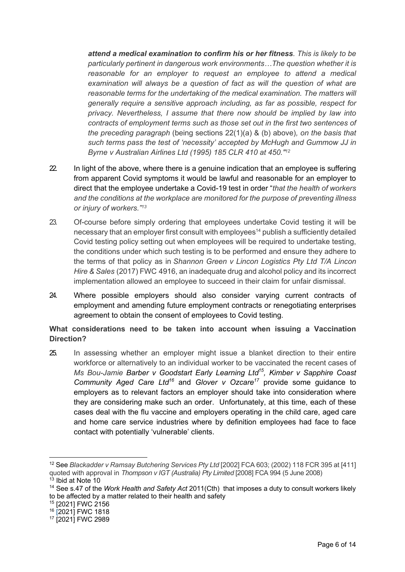*attend a medical examination to confirm his or her fitness. This is likely to be particularly pertinent in dangerous work environments…The question whether it is reasonable for an employer to request an employee to attend a medical examination will always be a question of fact as will the question of what are reasonable terms for the undertaking of the medical examination. The matters will generally require a sensitive approach including, as far as possible, respect for privacy. Nevertheless, I assume that there now should be implied by law into contracts of employment terms such as those set out in the first two sentences of the preceding paragraph* (being sections 22(1)(a) & (b) above)*, on the basis that such terms pass the test of 'necessity' accepted by McHugh and Gummow JJ in Byrne v Australian Airlines Ltd (1995) 185 CLR 410 at 450."12*

- 22. In light of the above, where there is a genuine indication that an employee is suffering from apparent Covid symptoms it would be lawful and reasonable for an employer to direct that the employee undertake a Covid-19 test in order "*that the health of workers and the conditions at the workplace are monitored for the purpose of preventing illness or injury of workers."13*
- 23. Of-course before simply ordering that employees undertake Covid testing it will be necessary that an employer first consult with employees<sup>14</sup> publish a sufficiently detailed Covid testing policy setting out when employees will be required to undertake testing, the conditions under which such testing is to be performed and ensure they adhere to the terms of that policy as in *Shannon Green v Lincon Logistics Pty Ltd T/A Lincon Hire & Sales* (2017) FWC 4916, an inadequate drug and alcohol policy and its incorrect implementation allowed an employee to succeed in their claim for unfair dismissal.
- 24. Where possible employers should also consider varying current contracts of employment and amending future employment contracts or renegotiating enterprises agreement to obtain the consent of employees to Covid testing.

**What considerations need to be taken into account when issuing a Vaccination Direction?**

25. In assessing whether an employer might issue a blanket direction to their entire workforce or alternatively to an individual worker to be vaccinated the recent cases of *Ms Bou-Jamie Barber v Goodstart Early Learning Ltd15, Kimber v Sapphire Coast Community Aged Care Ltd16* and *Glover v Ozcare17* provide some guidance to employers as to relevant factors an employer should take into consideration where they are considering make such an order. Unfortunately, at this time, each of these cases deal with the flu vaccine and employers operating in the child care, aged care and home care service industries where by definition employees had face to face contact with potentially 'vulnerable' clients.

<sup>15</sup> [2021] FWC 2156

<sup>12</sup> See *Blackadder v Ramsay Butchering Services Pty Ltd* [2002] FCA 603; (2002) 118 FCR 395 at [411] quoted with approval in *Thompson v IGT (Australia) Pty Limited* [2008] FCA 994 (5 June 2008)

 $13$  Ibid at Note 10

<sup>14</sup> See s.47 of the *Work Health and Safety Act* 2011(Cth) that imposes a duty to consult workers likely to be affected by a matter related to their health and safety

<sup>&</sup>lt;sup>16</sup> [2021] FWC 1818

<sup>&</sup>lt;sup>17</sup> [2021] FWC 2989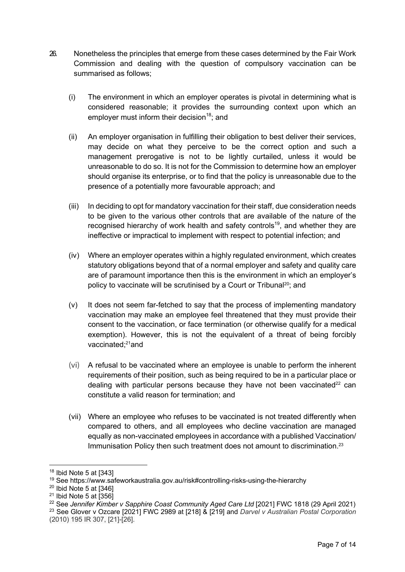- 26. Nonetheless the principles that emerge from these cases determined by the Fair Work Commission and dealing with the question of compulsory vaccination can be summarised as follows;
	- (i) The environment in which an employer operates is pivotal in determining what is considered reasonable; it provides the surrounding context upon which an employer must inform their decision<sup>18</sup>; and
	- (ii) An employer organisation in fulfilling their obligation to best deliver their services, may decide on what they perceive to be the correct option and such a management prerogative is not to be lightly curtailed, unless it would be unreasonable to do so. It is not for the Commission to determine how an employer should organise its enterprise, or to find that the policy is unreasonable due to the presence of a potentially more favourable approach; and
	- (iii) In deciding to opt for mandatory vaccination for their staff, due consideration needs to be given to the various other controls that are available of the nature of the recognised hierarchy of work health and safety controls<sup>19</sup>, and whether they are ineffective or impractical to implement with respect to potential infection; and
	- (iv) Where an employer operates within a highly regulated environment, which creates statutory obligations beyond that of a normal employer and safety and quality care are of paramount importance then this is the environment in which an employer's policy to vaccinate will be scrutinised by a Court or Tribunal<sup>20</sup>; and
	- (v) It does not seem far-fetched to say that the process of implementing mandatory vaccination may make an employee feel threatened that they must provide their consent to the vaccination, or face termination (or otherwise qualify for a medical exemption). However, this is not the equivalent of a threat of being forcibly vaccinated; 21and
	- (vi) A refusal to be vaccinated where an employee is unable to perform the inherent requirements of their position, such as being required to be in a particular place or dealing with particular persons because they have not been vaccinated $22$  can constitute a valid reason for termination; and
	- (vii) Where an employee who refuses to be vaccinated is not treated differently when compared to others, and all employees who decline vaccination are managed equally as non-vaccinated employees in accordance with a published Vaccination/ Immunisation Policy then such treatment does not amount to discrimination.23

<sup>23</sup> See Glover v Ozcare [2021] FWC 2989 at [218] & [219] and *Darvel v Australian Postal Corporation* (2010) 195 IR 307, [21]-[26].

<sup>18</sup> Ibid Note 5 at [343]

<sup>19</sup> See https://www.safeworkaustralia.gov.au/risk#controlling-risks-using-the-hierarchy

 $20$  Ibid Note 5 at  $[346]$ 

 $21$  Ibid Note 5 at  $\overline{356}$ 

<sup>22</sup> See *Jennifer Kimber v Sapphire Coast Community Aged Care Ltd* [2021] FWC 1818 (29 April 2021)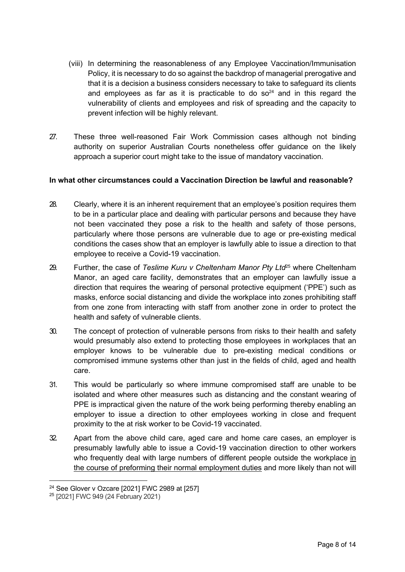- (viii) In determining the reasonableness of any Employee Vaccination/Immunisation Policy, it is necessary to do so against the backdrop of managerial prerogative and that it is a decision a business considers necessary to take to safeguard its clients and employees as far as it is practicable to do  $so<sup>24</sup>$  and in this regard the vulnerability of clients and employees and risk of spreading and the capacity to prevent infection will be highly relevant.
- 27. These three well-reasoned Fair Work Commission cases although not binding authority on superior Australian Courts nonetheless offer guidance on the likely approach a superior court might take to the issue of mandatory vaccination.

#### **In what other circumstances could a Vaccination Direction be lawful and reasonable?**

- 28. Clearly, where it is an inherent requirement that an employee's position requires them to be in a particular place and dealing with particular persons and because they have not been vaccinated they pose a risk to the health and safety of those persons, particularly where those persons are vulnerable due to age or pre-existing medical conditions the cases show that an employer is lawfully able to issue a direction to that employee to receive a Covid-19 vaccination.
- 29. Further, the case of *Teslime Kuru v Cheltenham Manor Pty Ltd*<sup>25</sup> where Cheltenham Manor, an aged care facility, demonstrates that an employer can lawfully issue a direction that requires the wearing of personal protective equipment ('PPE') such as masks, enforce social distancing and divide the workplace into zones prohibiting staff from one zone from interacting with staff from another zone in order to protect the health and safety of vulnerable clients.
- 30. The concept of protection of vulnerable persons from risks to their health and safety would presumably also extend to protecting those employees in workplaces that an employer knows to be vulnerable due to pre-existing medical conditions or compromised immune systems other than just in the fields of child, aged and health care.
- 31. This would be particularly so where immune compromised staff are unable to be isolated and where other measures such as distancing and the constant wearing of PPE is impractical given the nature of the work being performing thereby enabling an employer to issue a direction to other employees working in close and frequent proximity to the at risk worker to be Covid-19 vaccinated.
- 32. Apart from the above child care, aged care and home care cases, an employer is presumably lawfully able to issue a Covid-19 vaccination direction to other workers who frequently deal with large numbers of different people outside the workplace in the course of preforming their normal employment duties and more likely than not will

<sup>24</sup> See Glover v Ozcare [2021] FWC 2989 at [257]

<sup>25</sup> [2021] FWC 949 (24 February 2021)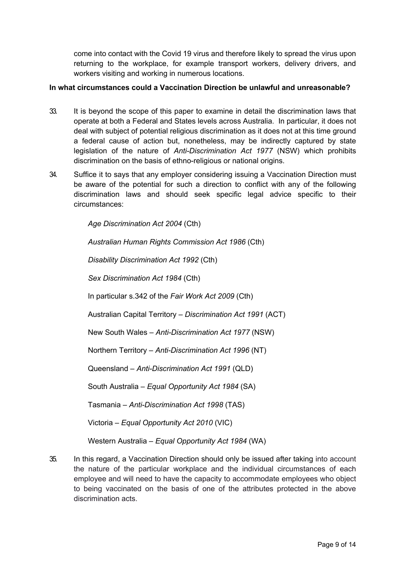come into contact with the Covid 19 virus and therefore likely to spread the virus upon returning to the workplace, for example transport workers, delivery drivers, and workers visiting and working in numerous locations.

#### **In what circumstances could a Vaccination Direction be unlawful and unreasonable?**

- 33. It is beyond the scope of this paper to examine in detail the discrimination laws that operate at both a Federal and States levels across Australia. In particular, it does not deal with subject of potential religious discrimination as it does not at this time ground a federal cause of action but, nonetheless, may be indirectly captured by state legislation of the nature of *Anti-Discrimination Act 1977* (NSW) which prohibits discrimination on the basis of ethno-religious or national origins.
- 34. Suffice it to says that any employer considering issuing a Vaccination Direction must be aware of the potential for such a direction to conflict with any of the following discrimination laws and should seek specific legal advice specific to their circumstances:

*Age Discrimination Act 2004* (Cth)

*Australian Human Rights Commission Act 1986* (Cth)

*Disability Discrimination Act 1992* (Cth)

*Sex Discrimination Act 1984* (Cth)

In particular s.342 of the *Fair Work Act 2009* (Cth)

Australian Capital Territory – *Discrimination Act 1991* (ACT)

New South Wales – *Anti-Discrimination Act 1977* (NSW)

Northern Territory – *Anti-Discrimination Act 1996* (NT)

Queensland – *Anti-Discrimination Act 1991* (QLD)

South Australia – *Equal Opportunity Act 1984* (SA)

Tasmania – *Anti-Discrimination Act 1998* (TAS)

Victoria – *Equal Opportunity Act 2010* (VIC)

Western Australia – *Equal Opportunity Act 1984* (WA)

35. In this regard, a Vaccination Direction should only be issued after taking into account the nature of the particular workplace and the individual circumstances of each employee and will need to have the capacity to accommodate employees who object to being vaccinated on the basis of one of the attributes protected in the above discrimination acts.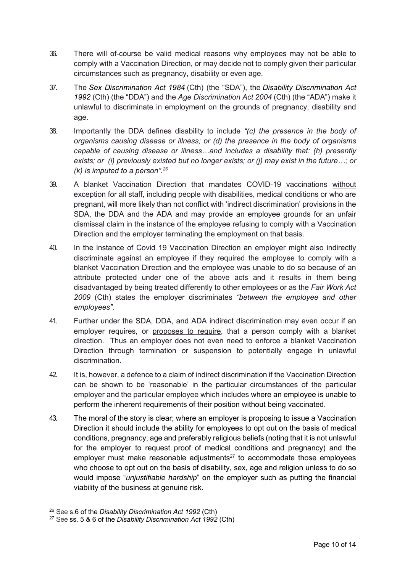- 36. There will of-course be valid medical reasons why employees may not be able to comply with a Vaccination Direction, or may decide not to comply given their particular circumstances such as pregnancy, disability or even age.
- 37. The *Sex Discrimination Act 1984* (Cth) (the "SDA"), the *Disability Discrimination Act 1992* (Cth) (the "DDA") and the *Age Discrimination Act 2004* (Cth) (the "ADA") make it unlawful to discriminate in employment on the grounds of pregnancy, disability and age.
- 38. Importantly the DDA defines disability to include *"(c) the presence in the body of organisms causing disease or illness; or (d) the presence in the body of organisms capable of causing disease or illness…and includes a disability that: (h) presently exists; or (i) previously existed but no longer exists; or (j) may exist in the future…; or (k) is imputed to a person".26*
- 39. A blanket Vaccination Direction that mandates COVID-19 vaccinations without exception for all staff, including people with disabilities, medical conditions or who are pregnant, will more likely than not conflict with 'indirect discrimination' provisions in the SDA, the DDA and the ADA and may provide an employee grounds for an unfair dismissal claim in the instance of the employee refusing to comply with a Vaccination Direction and the employer terminating the employment on that basis.
- 40. In the instance of Covid 19 Vaccination Direction an employer might also indirectly discriminate against an employee if they required the employee to comply with a blanket Vaccination Direction and the employee was unable to do so because of an attribute protected under one of the above acts and it results in them being disadvantaged by being treated differently to other employees or as the *Fair Work Act 2009* (Cth) states the employer discriminates *"between the employee and other employees"*.
- 41. Further under the SDA, DDA, and ADA indirect discrimination may even occur if an employer requires, or proposes to require, that a person comply with a blanket direction. Thus an employer does not even need to enforce a blanket Vaccination Direction through termination or suspension to potentially engage in unlawful discrimination.
- 42. It is, however, a defence to a claim of indirect discrimination if the Vaccination Direction can be shown to be 'reasonable' in the particular circumstances of the particular employer and the particular employee which includes where an employee is unable to perform the inherent requirements of their position without being vaccinated.
- 43. The moral of the story is clear; where an employer is proposing to issue a Vaccination Direction it should include the ability for employees to opt out on the basis of medical conditions, pregnancy, age and preferably religious beliefs (noting that it is not unlawful for the employer to request proof of medical conditions and pregnancy) and the employer must make reasonable adjustments $27$  to accommodate those employees who choose to opt out on the basis of disability, sex, age and religion unless to do so would impose "*unjustifiable hardship*" on the employer such as putting the financial viability of the business at genuine risk.

<sup>26</sup> See s.6 of the *Disability Discrimination Act 1992* (Cth)

<sup>27</sup> See ss. 5 & 6 of the *Disability Discrimination Act 1992* (Cth)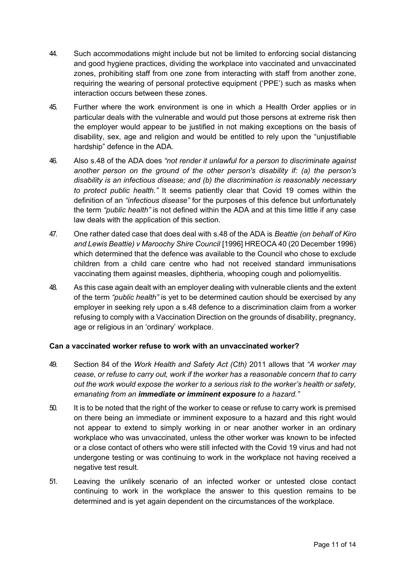- 44. Such accommodations might include but not be limited to enforcing social distancing and good hygiene practices, dividing the workplace into vaccinated and unvaccinated zones, prohibiting staff from one zone from interacting with staff from another zone, requiring the wearing of personal protective equipment ('PPE') such as masks when interaction occurs between these zones.
- 45. Further where the work environment is one in which a Health Order applies or in particular deals with the vulnerable and would put those persons at extreme risk then the employer would appear to be justified in not making exceptions on the basis of disability, sex, age and religion and would be entitled to rely upon the "unjustifiable hardship" defence in the ADA.
- 46. Also s.48 of the ADA does *"not render it unlawful for a person to discriminate against another person on the ground of the other person's disability if: (a) the person's disability is an infectious disease; and (b) the discrimination is reasonably necessary to protect public health."* It seems patiently clear that Covid 19 comes within the definition of an *"infectious disease"* for the purposes of this defence but unfortunately the term *"public health"* is not defined within the ADA and at this time little if any case law deals with the application of this section.
- 47. One rather dated case that does deal with s.48 of the ADA is *Beattie (on behalf of Kiro and Lewis Beattie) v Maroochy Shire Council* [1996] HREOCA 40 (20 December 1996) which determined that the defence was available to the Council who chose to exclude children from a child care centre who had not received standard immunisations vaccinating them against measles, diphtheria, whooping cough and poliomyelitis.
- 48. As this case again dealt with an employer dealing with vulnerable clients and the extent of the term *"public health"* is yet to be determined caution should be exercised by any employer in seeking rely upon a s.48 defence to a discrimination claim from a worker refusing to comply with a Vaccination Direction on the grounds of disability, pregnancy, age or religious in an 'ordinary' workplace.

#### **Can a vaccinated worker refuse to work with an unvaccinated worker?**

- 49. Section 84 of the *Work Health and Safety Act (Cth)* 2011 allows that *"A worker may cease, or refuse to carry out, work if the worker has a reasonable concern that to carry out the work would expose the worker to a serious risk to the worker's health or safety, emanating from an immediate or imminent exposure to a hazard."*
- 50. It is to be noted that the right of the worker to cease or refuse to carry work is premised on there being an immediate or imminent exposure to a hazard and this right would not appear to extend to simply working in or near another worker in an ordinary workplace who was unvaccinated, unless the other worker was known to be infected or a close contact of others who were still infected with the Covid 19 virus and had not undergone testing or was continuing to work in the workplace not having received a negative test result.
- 51. Leaving the unlikely scenario of an infected worker or untested close contact continuing to work in the workplace the answer to this question remains to be determined and is yet again dependent on the circumstances of the workplace.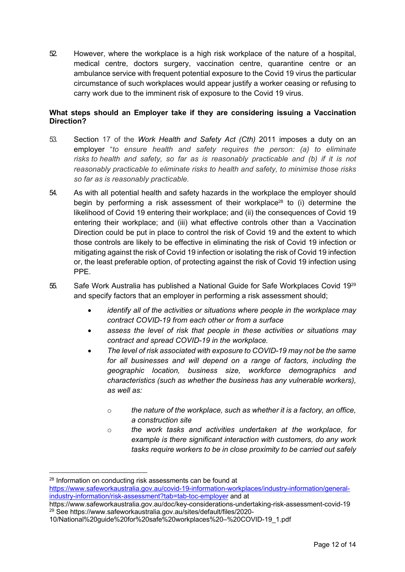52. However, where the workplace is a high risk workplace of the nature of a hospital, medical centre, doctors surgery, vaccination centre, quarantine centre or an ambulance service with frequent potential exposure to the Covid 19 virus the particular circumstance of such workplaces would appear justify a worker ceasing or refusing to carry work due to the imminent risk of exposure to the Covid 19 virus.

#### **What steps should an Employer take if they are considering issuing a Vaccination Direction?**

- 53. Section 17 of the *Work Health and Safety Act (Cth)* 2011 imposes a duty on an employer "*to ensure health and safety requires the person: (a) to eliminate risks to health and safety, so far as is reasonably practicable and (b) if it is not reasonably practicable to eliminate risks to health and safety, to minimise those risks so far as is reasonably practicable.*
- 54. As with all potential health and safety hazards in the workplace the employer should begin by performing a risk assessment of their workplace<sup>28</sup> to (i) determine the likelihood of Covid 19 entering their workplace; and (ii) the consequences of Covid 19 entering their workplace; and (iii) what effective controls other than a Vaccination Direction could be put in place to control the risk of Covid 19 and the extent to which those controls are likely to be effective in eliminating the risk of Covid 19 infection or mitigating against the risk of Covid 19 infection or isolating the risk of Covid 19 infection or, the least preferable option, of protecting against the risk of Covid 19 infection using PPE.
- 55. Safe Work Australia has published a National Guide for Safe Workplaces Covid 1929 and specify factors that an employer in performing a risk assessment should;
	- *identify all of the activities or situations where people in the workplace may contract COVID-19 from each other or from a surface*
	- *assess the level of risk that people in these activities or situations may contract and spread COVID-19 in the workplace.*
	- *The level of risk associated with exposure to COVID-19 may not be the same for all businesses and will depend on a range of factors, including the geographic location, business size, workforce demographics and characteristics (such as whether the business has any vulnerable workers), as well as:*
		- o *the nature of the workplace, such as whether it is a factory, an office, a construction site*
		- o *the work tasks and activities undertaken at the workplace, for example is there significant interaction with customers, do any work tasks require workers to be in close proximity to be carried out safely*

<sup>&</sup>lt;sup>28</sup> Information on conducting risk assessments can be found at https://www.safeworkaustralia.gov.au/covid-19-information-workplaces/industry-information/generalindustry-information/risk-assessment?tab=tab-toc-employer and at

https://www.safeworkaustralia.gov.au/doc/key-considerations-undertaking-risk-assessment-covid-19 <sup>29</sup> See https://www.safeworkaustralia.gov.au/sites/default/files/2020-

<sup>10/</sup>National%20guide%20for%20safe%20workplaces%20–%20COVID-19\_1.pdf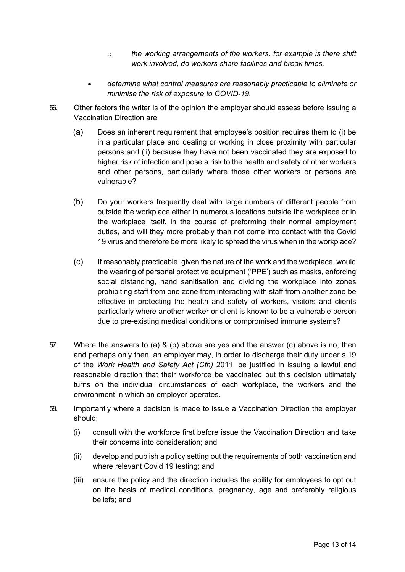- o *the working arrangements of the workers, for example is there shift work involved, do workers share facilities and break times.*
- *determine what control measures are reasonably practicable to eliminate or minimise the risk of exposure to COVID-19.*
- 56. Other factors the writer is of the opinion the employer should assess before issuing a Vaccination Direction are:
	- (a) Does an inherent requirement that employee's position requires them to (i) be in a particular place and dealing or working in close proximity with particular persons and (ii) because they have not been vaccinated they are exposed to higher risk of infection and pose a risk to the health and safety of other workers and other persons, particularly where those other workers or persons are vulnerable?
	- (b) Do your workers frequently deal with large numbers of different people from outside the workplace either in numerous locations outside the workplace or in the workplace itself, in the course of preforming their normal employment duties, and will they more probably than not come into contact with the Covid 19 virus and therefore be more likely to spread the virus when in the workplace?
	- (c) If reasonably practicable, given the nature of the work and the workplace, would the wearing of personal protective equipment ('PPE') such as masks, enforcing social distancing, hand sanitisation and dividing the workplace into zones prohibiting staff from one zone from interacting with staff from another zone be effective in protecting the health and safety of workers, visitors and clients particularly where another worker or client is known to be a vulnerable person due to pre-existing medical conditions or compromised immune systems?
- 57. Where the answers to (a) & (b) above are yes and the answer (c) above is no, then and perhaps only then, an employer may, in order to discharge their duty under s.19 of the *Work Health and Safety Act (Cth)* 2011, be justified in issuing a lawful and reasonable direction that their workforce be vaccinated but this decision ultimately turns on the individual circumstances of each workplace, the workers and the environment in which an employer operates.
- 58. Importantly where a decision is made to issue a Vaccination Direction the employer should;
	- (i) consult with the workforce first before issue the Vaccination Direction and take their concerns into consideration; and
	- (ii) develop and publish a policy setting out the requirements of both vaccination and where relevant Covid 19 testing; and
	- (iii) ensure the policy and the direction includes the ability for employees to opt out on the basis of medical conditions, pregnancy, age and preferably religious beliefs; and